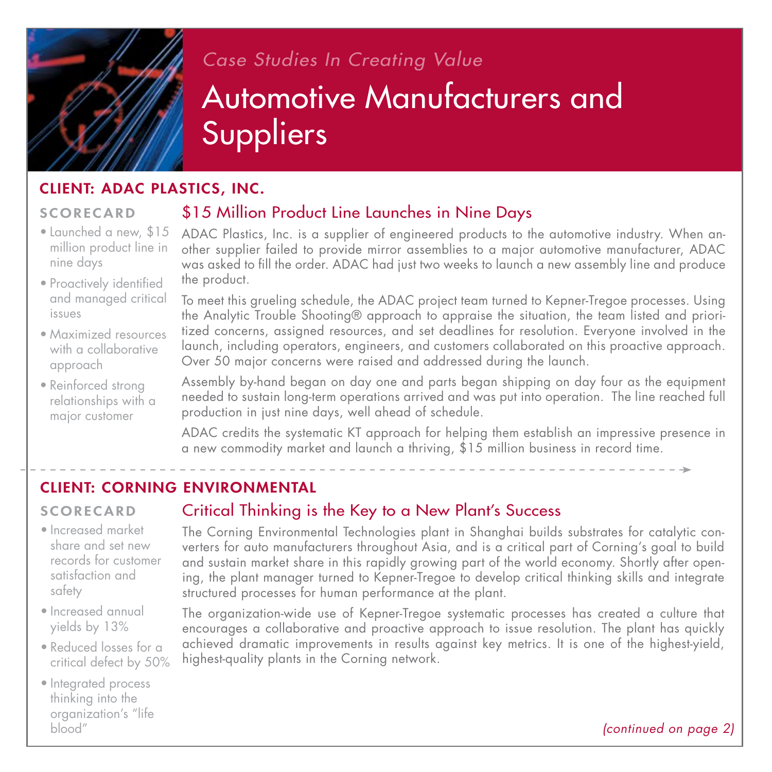

# *Case Studies In Creating Value* Automotive Manufacturers and Suppliers

### Client: ADAC Plastics, Inc.

### **SCORECARD**

nine days

• Launched a new, \$15 \$15 Million Product Line Launches in Nine Days

million product line in ADAC Plastics, Inc. is a supplier of engineered products to the automotive industry. When another supplier failed to provide mirror assemblies to a major automotive manufacturer, ADAC was asked to fill the order. ADAC had just two weeks to launch a new assembly line and produce the product.

• Proactively identified and managed critical issues

- Maximized resources with a collaborative approach
- Reinforced strong relationships with a major customer

To meet this grueling schedule, the ADAC project team turned to Kepner-Tregoe processes. Using the Analytic Trouble Shooting® approach to appraise the situation, the team listed and prioritized concerns, assigned resources, and set deadlines for resolution. Everyone involved in the launch, including operators, engineers, and customers collaborated on this proactive approach. Over 50 major concerns were raised and addressed during the launch.

Assembly by-hand began on day one and parts began shipping on day four as the equipment needed to sustain long-term operations arrived and was put into operation. The line reached full production in just nine days, well ahead of schedule.

ADAC credits the systematic KT approach for helping them establish an impressive presence in a new commodity market and launch a thriving, \$15 million business in record time.

# Client: Corning Environmental

### **SCORECARD**

- Increased market share and set new records for customer satisfaction and safety
- Increased annual yields by 13%
- Reduced losses for a critical defect by 50%
- Integrated process thinking into the organization's "life blood"

### Critical Thinking is the Key to a New Plant's Success

The Corning Environmental Technologies plant in Shanghai builds substrates for catalytic converters for auto manufacturers throughout Asia, and is a critical part of Corning's goal to build and sustain market share in this rapidly growing part of the world economy. Shortly after opening, the plant manager turned to Kepner-Tregoe to develop critical thinking skills and integrate structured processes for human performance at the plant.

The organization-wide use of Kepner-Tregoe systematic processes has created a culture that encourages a collaborative and proactive approach to issue resolution. The plant has quickly achieved dramatic improvements in results against key metrics. It is one of the highest-yield, highest-quality plants in the Corning network.